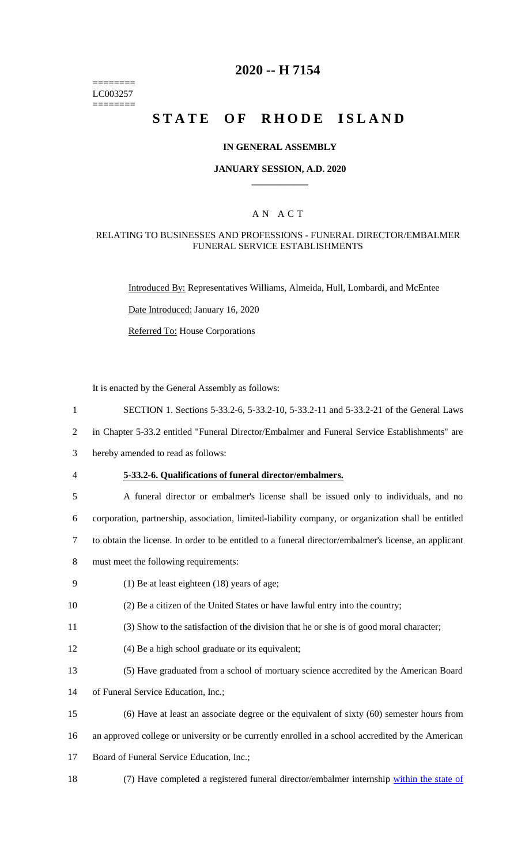======== LC003257 ========

# **2020 -- H 7154**

# **STATE OF RHODE ISLAND**

#### **IN GENERAL ASSEMBLY**

#### **JANUARY SESSION, A.D. 2020 \_\_\_\_\_\_\_\_\_\_\_\_**

### A N A C T

#### RELATING TO BUSINESSES AND PROFESSIONS - FUNERAL DIRECTOR/EMBALMER FUNERAL SERVICE ESTABLISHMENTS

Introduced By: Representatives Williams, Almeida, Hull, Lombardi, and McEntee

Date Introduced: January 16, 2020

Referred To: House Corporations

It is enacted by the General Assembly as follows:

1 SECTION 1. Sections 5-33.2-6, 5-33.2-10, 5-33.2-11 and 5-33.2-21 of the General Laws

2 in Chapter 5-33.2 entitled "Funeral Director/Embalmer and Funeral Service Establishments" are

- 3 hereby amended to read as follows:
- 

#### 4 **5-33.2-6. Qualifications of funeral director/embalmers.**

| 5 | A funeral director or embalmer's license shall be issued only to individuals, and no                  |
|---|-------------------------------------------------------------------------------------------------------|
| 6 | corporation, partnership, association, limited-liability company, or organization shall be entitled   |
|   | to obtain the license. In order to be entitled to a funeral director/embalmer's license, an applicant |

- 8 must meet the following requirements:
- 9 (1) Be at least eighteen (18) years of age;
- 10 (2) Be a citizen of the United States or have lawful entry into the country;
- 11 (3) Show to the satisfaction of the division that he or she is of good moral character;
- 12 (4) Be a high school graduate or its equivalent;
- 13 (5) Have graduated from a school of mortuary science accredited by the American Board
- 14 of Funeral Service Education, Inc.;
- 15 (6) Have at least an associate degree or the equivalent of sixty (60) semester hours from
- 16 an approved college or university or be currently enrolled in a school accredited by the American
- 17 Board of Funeral Service Education, Inc.;
- 18 (7) Have completed a registered funeral director/embalmer internship within the state of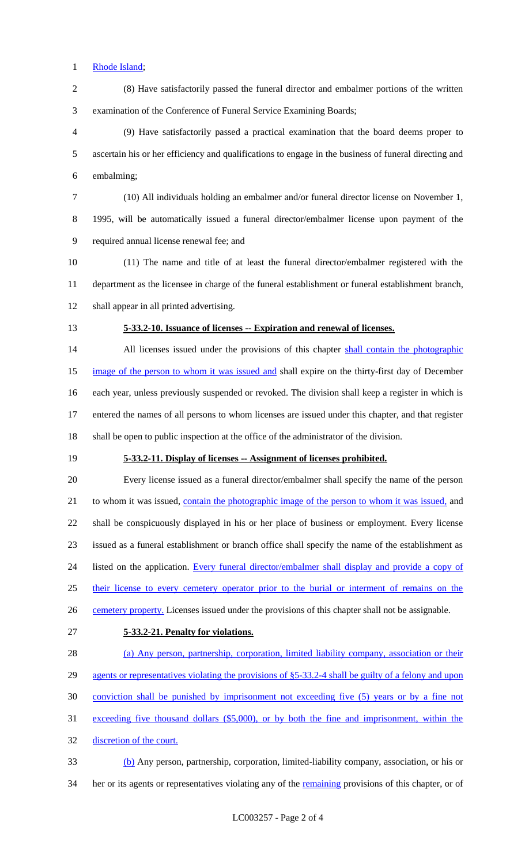#### Rhode Island;

 (8) Have satisfactorily passed the funeral director and embalmer portions of the written examination of the Conference of Funeral Service Examining Boards;

 (9) Have satisfactorily passed a practical examination that the board deems proper to ascertain his or her efficiency and qualifications to engage in the business of funeral directing and embalming;

 (10) All individuals holding an embalmer and/or funeral director license on November 1, 1995, will be automatically issued a funeral director/embalmer license upon payment of the

required annual license renewal fee; and

- (11) The name and title of at least the funeral director/embalmer registered with the department as the licensee in charge of the funeral establishment or funeral establishment branch, shall appear in all printed advertising.
- 

## **5-33.2-10. Issuance of licenses -- Expiration and renewal of licenses.**

14 All licenses issued under the provisions of this chapter shall contain the photographic 15 image of the person to whom it was issued and shall expire on the thirty-first day of December each year, unless previously suspended or revoked. The division shall keep a register in which is entered the names of all persons to whom licenses are issued under this chapter, and that register shall be open to public inspection at the office of the administrator of the division.

## **5-33.2-11. Display of licenses -- Assignment of licenses prohibited.**

 Every license issued as a funeral director/embalmer shall specify the name of the person 21 to whom it was issued, contain the photographic image of the person to whom it was issued, and shall be conspicuously displayed in his or her place of business or employment. Every license issued as a funeral establishment or branch office shall specify the name of the establishment as 24 listed on the application. Every funeral director/embalmer shall display and provide a copy of 25 their license to every cemetery operator prior to the burial or interment of remains on the 26 cemetery property. Licenses issued under the provisions of this chapter shall not be assignable.

#### **5-33.2-21. Penalty for violations.**

 (a) Any person, partnership, corporation, limited liability company, association or their 29 agents or representatives violating the provisions of §5-33.2-4 shall be guilty of a felony and upon conviction shall be punished by imprisonment not exceeding five (5) years or by a fine not exceeding five thousand dollars (\$5,000), or by both the fine and imprisonment, within the discretion of the court.

 (b) Any person, partnership, corporation, limited-liability company, association, or his or 34 her or its agents or representatives violating any of the remaining provisions of this chapter, or of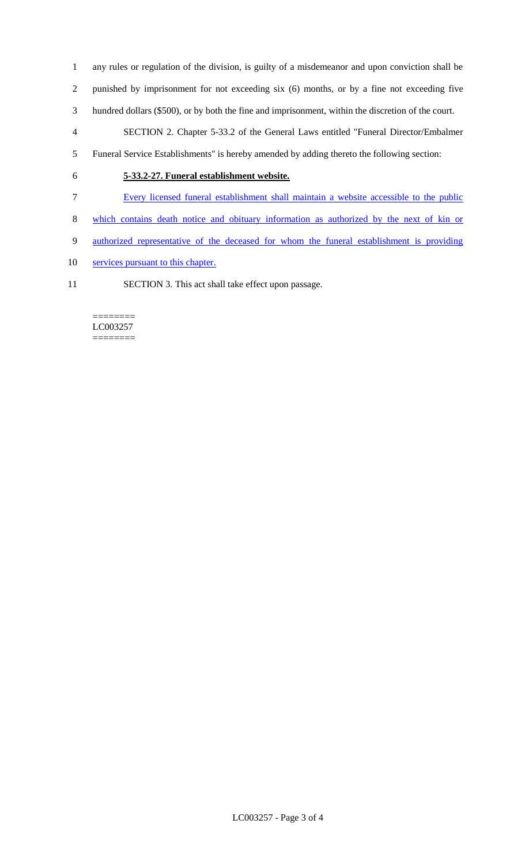- any rules or regulation of the division, is guilty of a misdemeanor and upon conviction shall be
- punished by imprisonment for not exceeding six (6) months, or by a fine not exceeding five
- hundred dollars (\$500), or by both the fine and imprisonment, within the discretion of the court.
- SECTION 2. Chapter 5-33.2 of the General Laws entitled "Funeral Director/Embalmer
- Funeral Service Establishments" is hereby amended by adding thereto the following section:
- 

## **5-33.2-27. Funeral establishment website.**

- Every licensed funeral establishment shall maintain a website accessible to the public
- which contains death notice and obituary information as authorized by the next of kin or
- authorized representative of the deceased for whom the funeral establishment is providing
- 10 services pursuant to this chapter.
- SECTION 3. This act shall take effect upon passage.

#### ======== LC003257 ========